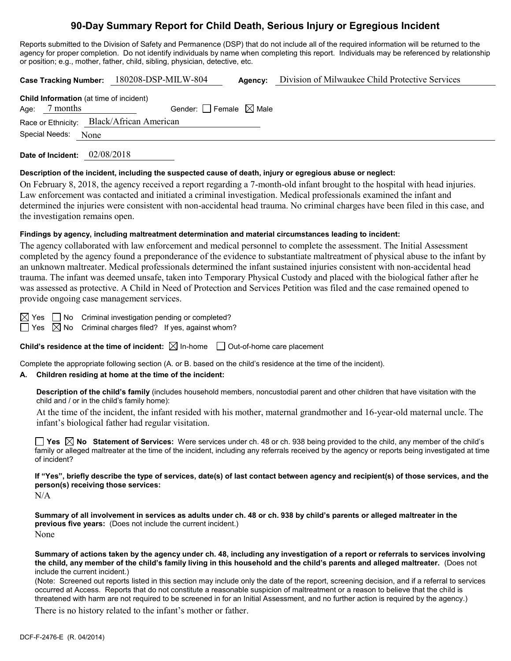# **90-Day Summary Report for Child Death, Serious Injury or Egregious Incident**

Reports submitted to the Division of Safety and Permanence (DSP) that do not include all of the required information will be returned to the agency for proper completion. Do not identify individuals by name when completing this report. Individuals may be referenced by relationship or position; e.g., mother, father, child, sibling, physician, detective, etc.

|  |                 |      | Case Tracking Number: 180208-DSP-MILW-804      |                                     | Agency: | Division of Milwaukee Child Protective Services |  |
|--|-----------------|------|------------------------------------------------|-------------------------------------|---------|-------------------------------------------------|--|
|  |                 |      | <b>Child Information</b> (at time of incident) |                                     |         |                                                 |  |
|  | Age: $7$ months |      |                                                | Gender: $ $ Female $\boxtimes$ Male |         |                                                 |  |
|  |                 |      | Race or Ethnicity: Black/African American      |                                     |         |                                                 |  |
|  | Special Needs:  | None |                                                |                                     |         |                                                 |  |
|  |                 |      |                                                |                                     |         |                                                 |  |

**Date of Incident:** 02/08/2018

#### **Description of the incident, including the suspected cause of death, injury or egregious abuse or neglect:**

On February 8, 2018, the agency received a report regarding a 7-month-old infant brought to the hospital with head injuries. Law enforcement was contacted and initiated a criminal investigation. Medical professionals examined the infant and determined the injuries were consistent with non-accidental head trauma. No criminal charges have been filed in this case, and the investigation remains open.

#### **Findings by agency, including maltreatment determination and material circumstances leading to incident:**

The agency collaborated with law enforcement and medical personnel to complete the assessment. The Initial Assessment completed by the agency found a preponderance of the evidence to substantiate maltreatment of physical abuse to the infant by an unknown maltreater. Medical professionals determined the infant sustained injuries consistent with non-accidental head trauma. The infant was deemed unsafe, taken into Temporary Physical Custody and placed with the biological father after he was assessed as protective. A Child in Need of Protection and Services Petition was filed and the case remained opened to provide ongoing case management services.

 $\boxtimes$  Yes  $\Box$  No Criminal investigation pending or completed?  $\Box$  Yes  $\boxtimes$  No Criminal charges filed? If yes, against whom?

**Child's residence at the time of incident:**  $\boxtimes$  In-home  $\Box$  Out-of-home care placement

Complete the appropriate following section (A. or B. based on the child's residence at the time of the incident).

# **A. Children residing at home at the time of the incident:**

**Description of the child's family** (includes household members, noncustodial parent and other children that have visitation with the child and / or in the child's family home):

At the time of the incident, the infant resided with his mother, maternal grandmother and 16-year-old maternal uncle. The infant's biological father had regular visitation.

**Yes No Statement of Services:** Were services under ch. 48 or ch. 938 being provided to the child, any member of the child's family or alleged maltreater at the time of the incident, including any referrals received by the agency or reports being investigated at time of incident?

**If "Yes", briefly describe the type of services, date(s) of last contact between agency and recipient(s) of those services, and the person(s) receiving those services:** N/A

**Summary of all involvement in services as adults under ch. 48 or ch. 938 by child's parents or alleged maltreater in the previous five years:** (Does not include the current incident.) None

**Summary of actions taken by the agency under ch. 48, including any investigation of a report or referrals to services involving the child, any member of the child's family living in this household and the child's parents and alleged maltreater.** (Does not include the current incident.)

(Note: Screened out reports listed in this section may include only the date of the report, screening decision, and if a referral to services occurred at Access. Reports that do not constitute a reasonable suspicion of maltreatment or a reason to believe that the child is threatened with harm are not required to be screened in for an Initial Assessment, and no further action is required by the agency.)

There is no history related to the infant's mother or father.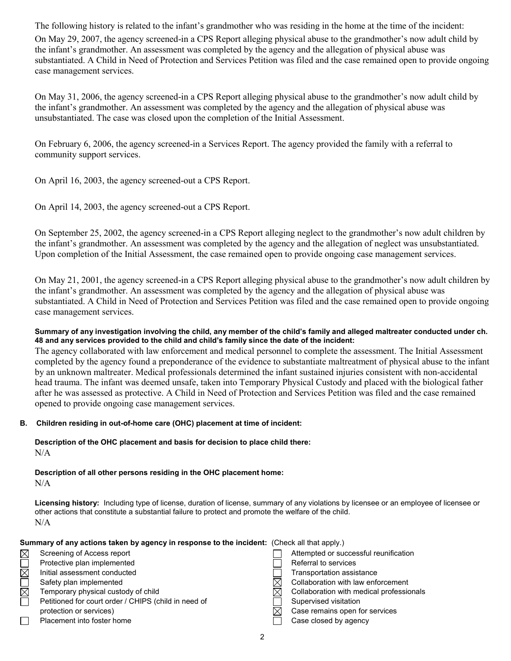The following history is related to the infant's grandmother who was residing in the home at the time of the incident: On May 29, 2007, the agency screened-in a CPS Report alleging physical abuse to the grandmother's now adult child by the infant's grandmother. An assessment was completed by the agency and the allegation of physical abuse was substantiated. A Child in Need of Protection and Services Petition was filed and the case remained open to provide ongoing case management services.

On May 31, 2006, the agency screened-in a CPS Report alleging physical abuse to the grandmother's now adult child by the infant's grandmother. An assessment was completed by the agency and the allegation of physical abuse was unsubstantiated. The case was closed upon the completion of the Initial Assessment.

On February 6, 2006, the agency screened-in a Services Report. The agency provided the family with a referral to community support services.

On April 16, 2003, the agency screened-out a CPS Report.

On April 14, 2003, the agency screened-out a CPS Report.

On September 25, 2002, the agency screened-in a CPS Report alleging neglect to the grandmother's now adult children by the infant's grandmother. An assessment was completed by the agency and the allegation of neglect was unsubstantiated. Upon completion of the Initial Assessment, the case remained open to provide ongoing case management services.

On May 21, 2001, the agency screened-in a CPS Report alleging physical abuse to the grandmother's now adult children by the infant's grandmother. An assessment was completed by the agency and the allegation of physical abuse was substantiated. A Child in Need of Protection and Services Petition was filed and the case remained open to provide ongoing case management services.

#### **Summary of any investigation involving the child, any member of the child's family and alleged maltreater conducted under ch. 48 and any services provided to the child and child's family since the date of the incident:**

The agency collaborated with law enforcement and medical personnel to complete the assessment. The Initial Assessment completed by the agency found a preponderance of the evidence to substantiate maltreatment of physical abuse to the infant by an unknown maltreater. Medical professionals determined the infant sustained injuries consistent with non-accidental head trauma. The infant was deemed unsafe, taken into Temporary Physical Custody and placed with the biological father after he was assessed as protective. A Child in Need of Protection and Services Petition was filed and the case remained opened to provide ongoing case management services.

### **B. Children residing in out-of-home care (OHC) placement at time of incident:**

**Description of the OHC placement and basis for decision to place child there:** N/A

**Description of all other persons residing in the OHC placement home:** N/A

**Licensing history:** Including type of license, duration of license, summary of any violations by licensee or an employee of licensee or other actions that constitute a substantial failure to protect and promote the welfare of the child. N/A

#### Summary of any actions taken by agency in response to the incident:

| (Check all that apply.) |  |
|-------------------------|--|
|-------------------------|--|

| Screening of Access report                           | Attempted or successful reunification    |
|------------------------------------------------------|------------------------------------------|
| Protective plan implemented                          | Referral to services                     |
| Initial assessment conducted                         | Transportation assistance                |
| Safety plan implemented                              | Collaboration with law enforcement       |
| Temporary physical custody of child                  | Collaboration with medical professionals |
| Petitioned for court order / CHIPS (child in need of | Supervised visitation                    |
| protection or services)                              | Case remains open for services           |
| Placement into foster home                           | Case closed by agency                    |